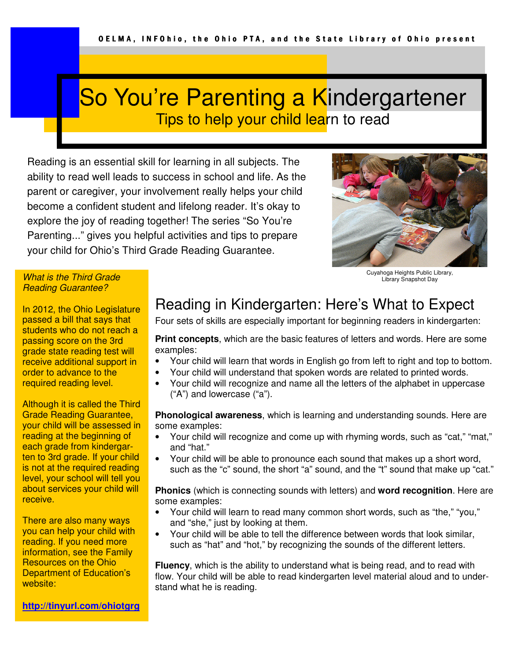# So You're Parenting a Kindergartener Tips to help your child learn to read

Reading is an essential skill for learning in all subjects. The ability to read well leads to success in school and life. As the parent or caregiver, your involvement really helps your child become a confident student and lifelong reader. It's okay to explore the joy of reading together! The series "So You're Parenting..." gives you helpful activities and tips to prepare your child for Ohio's Third Grade Reading Guarantee.



Cuyahoga Heights Public Library, Library Snapshot Day

#### What is the Third Grade Reading Guarantee?

In 2012, the Ohio Legislature passed a bill that says that students who do not reach a passing score on the 3rd grade state reading test will receive additional support in order to advance to the required reading level.

Although it is called the Third Grade Reading Guarantee, your child will be assessed in reading at the beginning of each grade from kindergarten to 3rd grade. If your child is not at the required reading level, your school will tell you about services your child will receive.

There are also many ways you can help your child with reading. If you need more information, see the Family Resources on the Ohio Department of Education's website:

### Reading in Kindergarten: Here's What to Expect

Four sets of skills are especially important for beginning readers in kindergarten:

**Print concepts**, which are the basic features of letters and words. Here are some examples:

- Your child will learn that words in English go from left to right and top to bottom.
- Your child will understand that spoken words are related to printed words.
- Your child will recognize and name all the letters of the alphabet in uppercase ("A") and lowercase ("a").

**Phonological awareness**, which is learning and understanding sounds. Here are some examples:

- Your child will recognize and come up with rhyming words, such as "cat," "mat," and "hat."
- Your child will be able to pronounce each sound that makes up a short word, such as the "c" sound, the short "a" sound, and the "t" sound that make up "cat."

**Phonics** (which is connecting sounds with letters) and **word recognition**. Here are some examples:

- Your child will learn to read many common short words, such as "the," "you," and "she," just by looking at them.
- Your child will be able to tell the difference between words that look similar, such as "hat" and "hot," by recognizing the sounds of the different letters.

**Fluency**, which is the ability to understand what is being read, and to read with flow. Your child will be able to read kindergarten level material aloud and to understand what he is reading.

**http://tinyurl.com/ohiotgrg**